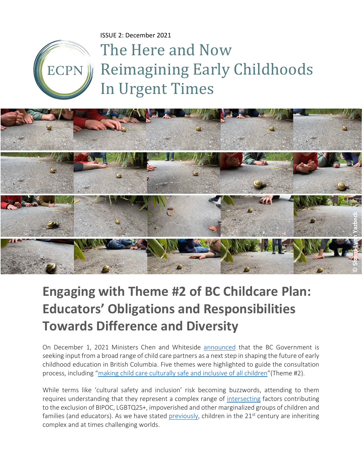ISSUE 2: December 2021

ECPN

# The Here and Now Reimagining Early Childhoods In Urgent Times



## **Engaging with Theme #2 of BC Childcare Plan: Educators' Obligations and Responsibilities Towards Difference and Diversity**

On December 1, 2021 Ministers Chen and Whiteside [announced](https://www2.gov.bc.ca/gov/content/family-social-supports/caring-for-young-children/childcarebc-engagement) that the BC Government is seeking input from a broad range of child care partners as a next step in shaping the future of early childhood education in British Columbia. Five themes were highlighted to guide the consultation process, including ["making child care culturally safe and inclusive of all children"](https://youtu.be/o7-fibF6qgI)(Theme #2).

While terms like 'cultural safety and inclusion' risk becoming buzzwords, attending to them requires understanding that they represent a complex range of [intersecting](https://youtu.be/ViDtnfQ9FHc) factors contributing to the exclusion of BIPOC, LGBTQ2S+, impoverished and other marginalized groups of children and families (and educators). As we have stated [previously,](https://www.ecpn.ca/application/files/4816/3823/1775/The_Here_and_Now-_ISSUE_1_PDF_version-final.pdf) children in the 21<sup>st</sup> century are inheriting complex and at times challenging worlds.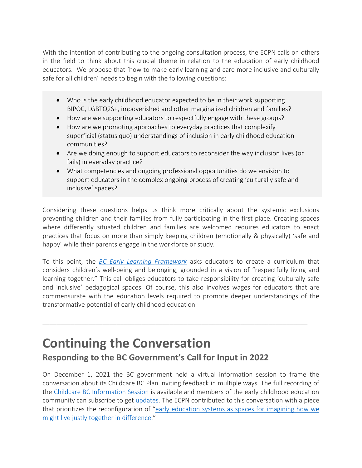With the intention of contributing to the ongoing consultation process, the ECPN calls on others in the field to think about this crucial theme in relation to the education of early childhood educators. We propose that 'how to make early learning and care more inclusive and culturally safe for all children' needs to begin with the following questions:

- Who is the early childhood educator expected to be in their work supporting BIPOC, LGBTQ2S+, impoverished and other marginalized children and families?
- How are we supporting educators to respectfully engage with these groups?
- How are we promoting approaches to everyday practices that complexify superficial (status quo) understandings of inclusion in early childhood education communities?
- Are we doing enough to support educators to reconsider the way inclusion lives (or fails) in everyday practice?
- What competencies and ongoing professional opportunities do we envision to support educators in the complex ongoing process of creating 'culturally safe and inclusive' spaces?

Considering these questions helps us think more critically about the systemic exclusions preventing children and their families from fully participating in the first place. Creating spaces where differently situated children and families are welcomed requires educators to enact practices that focus on more than simply keeping children (emotionally & physically) 'safe and happy' while their parents engage in the workforce or study.

To this point, the *[BC Early Learning Framework](https://www2.gov.bc.ca/gov/content/education-training/early-learning/teach/early-learning-framework)* asks educators to create a curriculum that considers children's well-being and belonging, grounded in a vision of "respectfully living and learning together." This call obliges educators to take responsibility for creating 'culturally safe and inclusive' pedagogical spaces. Of course, this also involves wages for educators that are commensurate with the education levels required to promote deeper understandings of the transformative potential of early childhood education.

### **Continuing the Conversation**

#### **Responding to the BC Government's Call for Input in 2022**

On December 1, 2021 the BC government held a virtual information session to frame the conversation about its Childcare BC Plan inviting feedback in multiple ways. The full recording of the [Childcare BC Information Session](https://www.youtube.com/watch?v=o7-fibF6qgI) is available and members of the early childhood education community can subscribe to get [updates.](https://www2.gov.bc.ca/gov/content/family-social-supports/caring-for-young-children/childcarebc-engagement) The ECPN contributed to this conversation with a piece that prioritizes the reconfiguration of ["early education systems as spaces for imagining how we](https://www.ecpn.ca/application/files/4816/3823/1775/The_Here_and_Now-_ISSUE_1_PDF_version-final.pdf)  [might live justly together in difference.](https://www.ecpn.ca/application/files/4816/3823/1775/The_Here_and_Now-_ISSUE_1_PDF_version-final.pdf)"